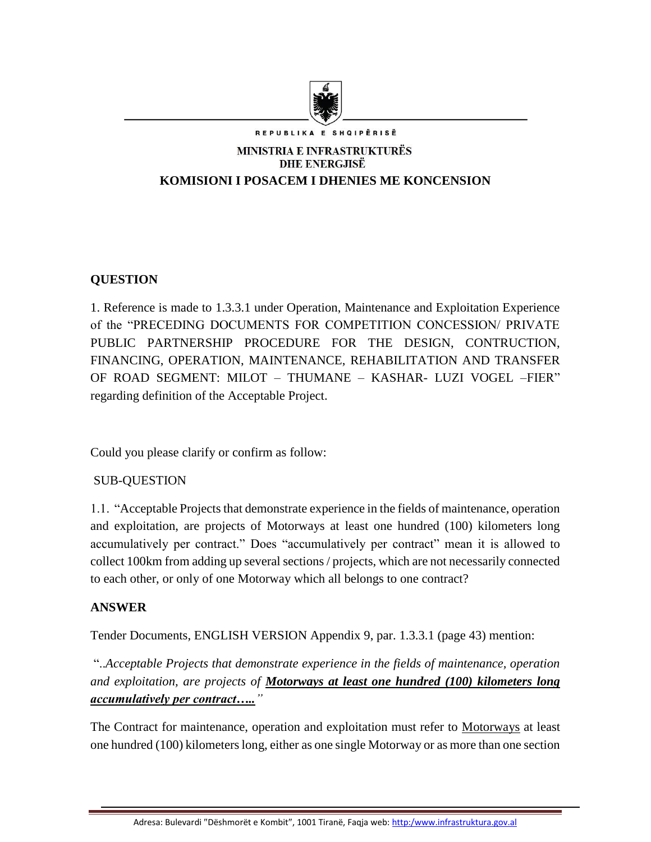

REPUBLIKA E SHOIPËRISË

# **MINISTRIA E INFRASTRUKTURËS DHE ENERGJISË KOMISIONI I POSACEM I DHENIES ME KONCENSION**

# **QUESTION**

1. Reference is made to 1.3.3.1 under Operation, Maintenance and Exploitation Experience of the "PRECEDING DOCUMENTS FOR COMPETITION CONCESSION/ PRIVATE PUBLIC PARTNERSHIP PROCEDURE FOR THE DESIGN, CONTRUCTION, FINANCING, OPERATION, MAINTENANCE, REHABILITATION AND TRANSFER OF ROAD SEGMENT: MILOT – THUMANE – KASHAR- LUZI VOGEL –FIER" regarding definition of the Acceptable Project.

Could you please clarify or confirm as follow:

## SUB-QUESTION

1.1. "Acceptable Projects that demonstrate experience in the fields of maintenance, operation and exploitation, are projects of Motorways at least one hundred (100) kilometers long accumulatively per contract." Does "accumulatively per contract" mean it is allowed to collect 100km from adding up several sections / projects, which are not necessarily connected to each other, or only of one Motorway which all belongs to one contract?

## **ANSWER**

Tender Documents, ENGLISH VERSION Appendix 9, par. 1.3.3.1 (page 43) mention:

"..*Acceptable Projects that demonstrate experience in the fields of maintenance, operation and exploitation, are projects of Motorways at least one hundred (100) kilometers long accumulatively per contract….."*

The Contract for maintenance, operation and exploitation must refer to Motorways at least one hundred (100) kilometers long, either as one single Motorway or as more than one section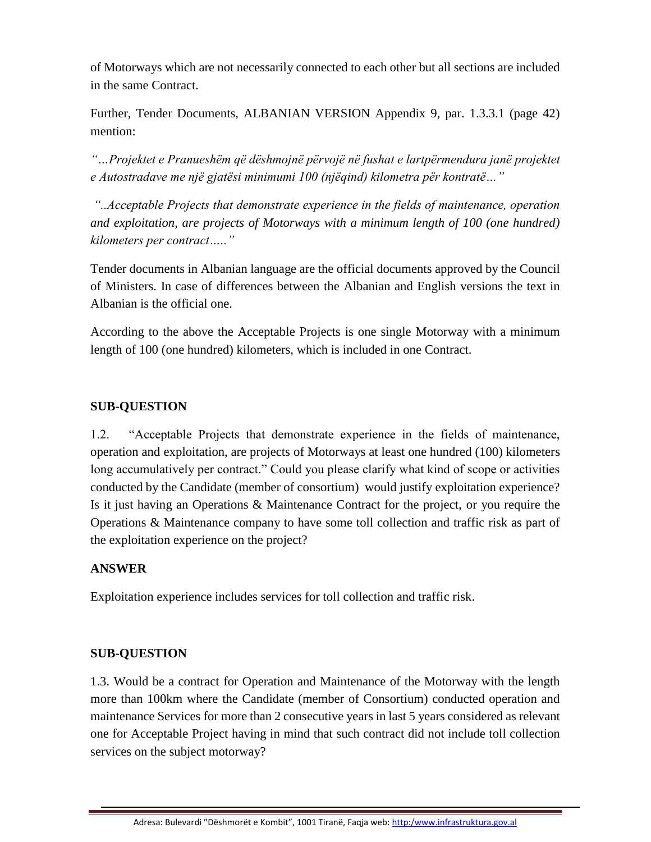of Motorways which are not necessarily connected to each other but all sections are included in the same Contract.

Further, Tender Documents, ALBANIAN VERSION Appendix 9, par. 1.3.3.1 (page 42) mention:

*"…Projektet e Pranueshëm që dëshmojnë përvojë në fushat e lartpërmendura janë projektet e Autostradave me një gjatësi minimumi 100 (njëqind) kilometra për kontratë…"*

*"..Acceptable Projects that demonstrate experience in the fields of maintenance, operation and exploitation, are projects of Motorways with a minimum length of 100 (one hundred) kilometers per contract….."*

Tender documents in Albanian language are the official documents approved by the Council of Ministers. In case of differences between the Albanian and English versions the text in Albanian is the official one.

According to the above the Acceptable Projects is one single Motorway with a minimum length of 100 (one hundred) kilometers, which is included in one Contract.

## **SUB-QUESTION**

1.2. "Acceptable Projects that demonstrate experience in the fields of maintenance, operation and exploitation, are projects of Motorways at least one hundred (100) kilometers long accumulatively per contract." Could you please clarify what kind of scope or activities conducted by the Candidate (member of consortium) would justify exploitation experience? Is it just having an Operations & Maintenance Contract for the project, or you require the Operations & Maintenance company to have some toll collection and traffic risk as part of the exploitation experience on the project?

## **ANSWER**

Exploitation experience includes services for toll collection and traffic risk.

## **SUB-QUESTION**

1.3. Would be a contract for Operation and Maintenance of the Motorway with the length more than 100km where the Candidate (member of Consortium) conducted operation and maintenance Services for more than 2 consecutive years in last 5 years considered as relevant one for Acceptable Project having in mind that such contract did not include toll collection services on the subject motorway?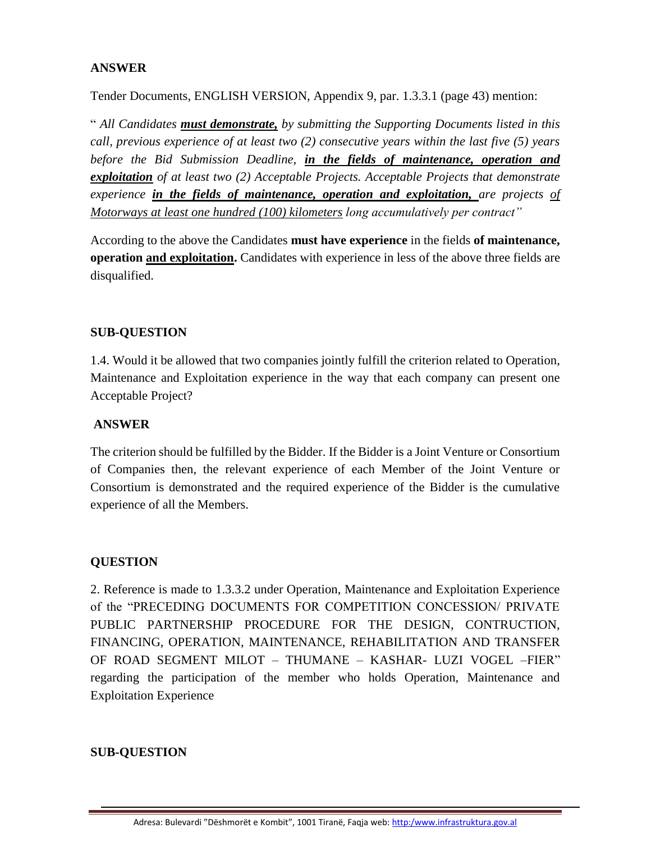## **ANSWER**

Tender Documents, ENGLISH VERSION, Appendix 9, par. 1.3.3.1 (page 43) mention:

" *All Candidates must demonstrate, by submitting the Supporting Documents listed in this call, previous experience of at least two (2) consecutive years within the last five (5) years before the Bid Submission Deadline, in the fields of maintenance, operation and exploitation of at least two (2) Acceptable Projects. Acceptable Projects that demonstrate experience in the fields of maintenance, operation and exploitation, are projects of Motorways at least one hundred (100) kilometers long accumulatively per contract"*

According to the above the Candidates **must have experience** in the fields **of maintenance, operation and exploitation.** Candidates with experience in less of the above three fields are disqualified.

#### **SUB-QUESTION**

1.4. Would it be allowed that two companies jointly fulfill the criterion related to Operation, Maintenance and Exploitation experience in the way that each company can present one Acceptable Project?

#### **ANSWER**

The criterion should be fulfilled by the Bidder. If the Bidder is a Joint Venture or Consortium of Companies then, the relevant experience of each Member of the Joint Venture or Consortium is demonstrated and the required experience of the Bidder is the cumulative experience of all the Members.

## **QUESTION**

2. Reference is made to 1.3.3.2 under Operation, Maintenance and Exploitation Experience of the "PRECEDING DOCUMENTS FOR COMPETITION CONCESSION/ PRIVATE PUBLIC PARTNERSHIP PROCEDURE FOR THE DESIGN, CONTRUCTION, FINANCING, OPERATION, MAINTENANCE, REHABILITATION AND TRANSFER OF ROAD SEGMENT MILOT – THUMANE – KASHAR- LUZI VOGEL –FIER" regarding the participation of the member who holds Operation, Maintenance and Exploitation Experience

#### **SUB-QUESTION**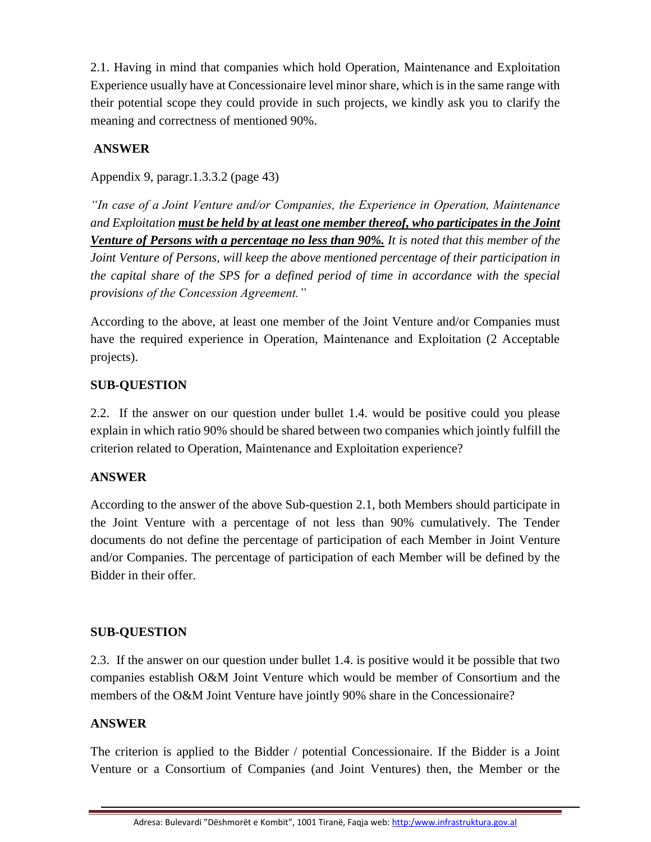2.1. Having in mind that companies which hold Operation, Maintenance and Exploitation Experience usually have at Concessionaire level minor share, which is in the same range with their potential scope they could provide in such projects, we kindly ask you to clarify the meaning and correctness of mentioned 90%.

## **ANSWER**

Appendix 9, paragr.1.3.3.2 (page 43)

*"In case of a Joint Venture and/or Companies, the Experience in Operation, Maintenance and Exploitation must be held by at least one member thereof, who participates in the Joint Venture of Persons with a percentage no less than 90%. It is noted that this member of the Joint Venture of Persons, will keep the above mentioned percentage of their participation in the capital share of the SPS for a defined period of time in accordance with the special provisions of the Concession Agreement."*

According to the above, at least one member of the Joint Venture and/or Companies must have the required experience in Operation, Maintenance and Exploitation (2 Acceptable projects).

## **SUB-QUESTION**

2.2. If the answer on our question under bullet 1.4. would be positive could you please explain in which ratio 90% should be shared between two companies which jointly fulfill the criterion related to Operation, Maintenance and Exploitation experience?

## **ANSWER**

According to the answer of the above Sub-question 2.1, both Members should participate in the Joint Venture with a percentage of not less than 90% cumulatively. The Tender documents do not define the percentage of participation of each Member in Joint Venture and/or Companies. The percentage of participation of each Member will be defined by the Bidder in their offer.

## **SUB-QUESTION**

2.3. If the answer on our question under bullet 1.4. is positive would it be possible that two companies establish O&M Joint Venture which would be member of Consortium and the members of the O&M Joint Venture have jointly 90% share in the Concessionaire?

## **ANSWER**

The criterion is applied to the Bidder / potential Concessionaire. If the Bidder is a Joint Venture or a Consortium of Companies (and Joint Ventures) then, the Member or the